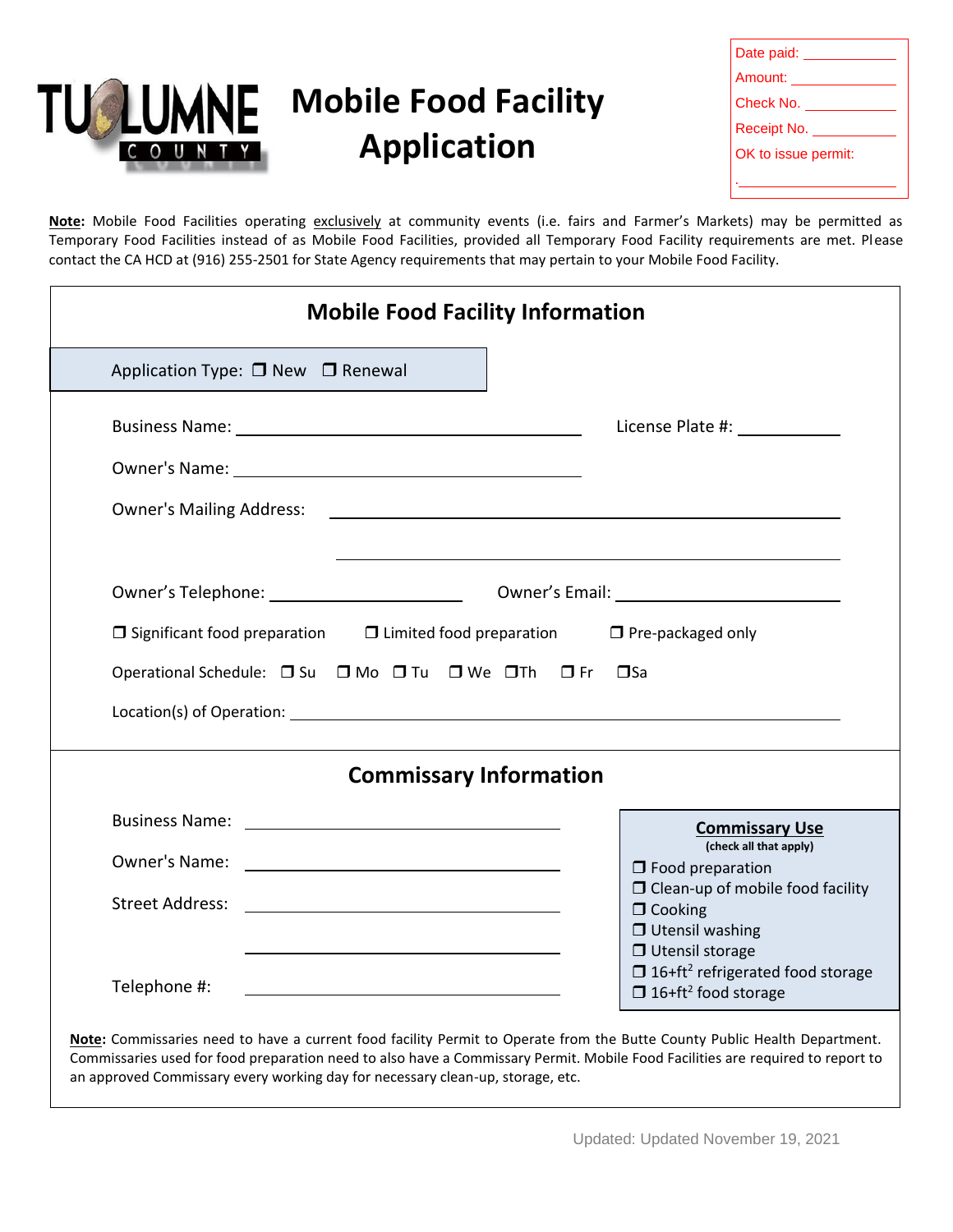

| Date paid: <u>_____</u> |  |  |
|-------------------------|--|--|
| Amount: Amount:         |  |  |
| Check No.               |  |  |
| Receipt No.             |  |  |
| OK to issue permit:     |  |  |
|                         |  |  |
|                         |  |  |

**Note:** Mobile Food Facilities operating exclusively at community events (i.e. fairs and Farmer's Markets) may be permitted as Temporary Food Facilities instead of as Mobile Food Facilities, provided all Temporary Food Facility requirements are met. Please contact the CA HCD at (916) 255-2501 for State Agency requirements that may pertain to your Mobile Food Facility.

| <b>Mobile Food Facility Information</b>                                                                                                                                                                                                                                                                                                       |                                                                                                                                                   |  |  |
|-----------------------------------------------------------------------------------------------------------------------------------------------------------------------------------------------------------------------------------------------------------------------------------------------------------------------------------------------|---------------------------------------------------------------------------------------------------------------------------------------------------|--|--|
| Application Type: □ New □ Renewal                                                                                                                                                                                                                                                                                                             |                                                                                                                                                   |  |  |
|                                                                                                                                                                                                                                                                                                                                               |                                                                                                                                                   |  |  |
| Owner's Name: University of the University of the University of the University of the University of the University of the University of the University of the University of the University of the University of the University                                                                                                                |                                                                                                                                                   |  |  |
| <b>Owner's Mailing Address:</b>                                                                                                                                                                                                                                                                                                               | <u> 1990 - Johann Stoff, amerikansk politiker (d. 1980)</u>                                                                                       |  |  |
|                                                                                                                                                                                                                                                                                                                                               |                                                                                                                                                   |  |  |
| $\Box$ Significant food preparation $\Box$ Limited food preparation $\Box$ Pre-packaged only                                                                                                                                                                                                                                                  |                                                                                                                                                   |  |  |
| Operational Schedule: □ Su □ Mo □ Tu □ We □ Th □ Fr<br>$\square$ Sa                                                                                                                                                                                                                                                                           |                                                                                                                                                   |  |  |
|                                                                                                                                                                                                                                                                                                                                               |                                                                                                                                                   |  |  |
| <b>Commissary Information</b>                                                                                                                                                                                                                                                                                                                 |                                                                                                                                                   |  |  |
|                                                                                                                                                                                                                                                                                                                                               | <b>Commissary Use</b>                                                                                                                             |  |  |
|                                                                                                                                                                                                                                                                                                                                               | (check all that apply)<br>$\Box$ Food preparation                                                                                                 |  |  |
|                                                                                                                                                                                                                                                                                                                                               | $\Box$ Clean-up of mobile food facility<br>$\Box$ Cooking                                                                                         |  |  |
| Telephone #:                                                                                                                                                                                                                                                                                                                                  | $\Box$ Utensil washing<br>$\Box$ Utensil storage<br>$\Box$ 16+ft <sup>2</sup> refrigerated food storage<br>$\Box$ 16+ft <sup>2</sup> food storage |  |  |
| Note: Commissaries need to have a current food facility Permit to Operate from the Butte County Public Health Department.<br>Commissaries used for food preparation need to also have a Commissary Permit. Mobile Food Facilities are required to report to<br>an approved Commissary every working day for necessary clean-up, storage, etc. |                                                                                                                                                   |  |  |